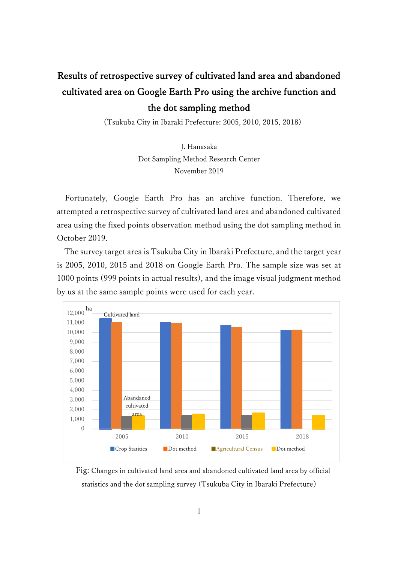## Results of retrospective survey of cultivated land area and abandoned cultivated area on Google Earth Pro using the archive function and the dot sampling method

(Tsukuba City in Ibaraki Prefecture: 2005, 2010, 2015, 2018)

J. Hanasaka Dot Sampling Method Research Center November 2019

Fortunately, Google Earth Pro has an archive function. Therefore, we attempted a retrospective survey of cultivated land area and abandoned cultivated area using the fixed points observation method using the dot sampling method in October 2019.

The survey target area is Tsukuba City in Ibaraki Prefecture, and the target year is 2005, 2010, 2015 and 2018 on Google Earth Pro. The sample size was set at 1000 points (999 points in actual results), and the image visual judgment method by us at the same sample points were used for each year.



Fig: Changes in cultivated land area and abandoned cultivated land area by official statistics and the dot sampling survey (Tsukuba City in Ibaraki Prefecture)